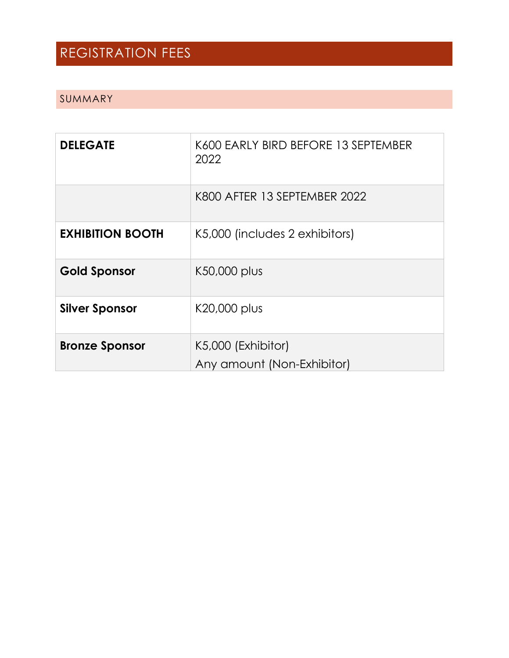## REGISTRATION FEES

#### SUMMARY

| <b>DELEGATE</b>         | K600 EARLY BIRD BEFORE 13 SEPTEMBER<br>2022      |
|-------------------------|--------------------------------------------------|
|                         | K800 AFTER 13 SEPTEMBER 2022                     |
| <b>EXHIBITION BOOTH</b> | K5,000 (includes 2 exhibitors)                   |
| <b>Gold Sponsor</b>     | K50,000 plus                                     |
| <b>Silver Sponsor</b>   | K20,000 plus                                     |
| <b>Bronze Sponsor</b>   | K5,000 (Exhibitor)<br>Any amount (Non-Exhibitor) |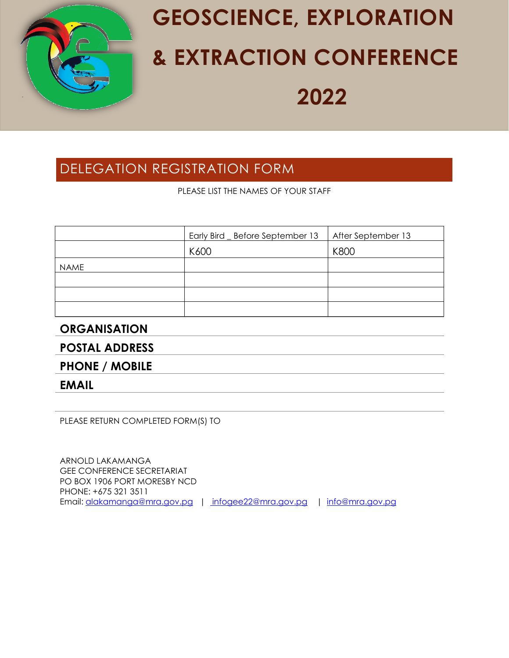

# **GEOSCIENCE, EXPLORATION & EXTRACTION CONFERENCE 2022**

### DELEGATION REGISTRATION FORM

PLEASE LIST THE NAMES OF YOUR STAFF

|             | Early Bird _ Before September 13 | After September 13 |
|-------------|----------------------------------|--------------------|
|             | K600                             | K800               |
| <b>NAME</b> |                                  |                    |
|             |                                  |                    |
|             |                                  |                    |
|             |                                  |                    |

#### **ORGANISATION**

**POSTAL ADDRESS**

**PHONE / MOBILE** 

**EMAIL**

PLEASE RETURN COMPLETED FORM(S) TO

ARNOLD LAKAMANGA GEE CONFERENCE SECRETARIAT PO BOX 1906 PORT MORESBY NCD PHONE: +675 321 3511 Email: [alakamanga@mra.gov.pg](mailto:alakamanga@mra.gov.pg) | [infogee22@mra.gov.pg](mailto:%20infogee22@mra.gov.pg) | [info@mra.gov.pg](mailto:info@mra.gov.pg)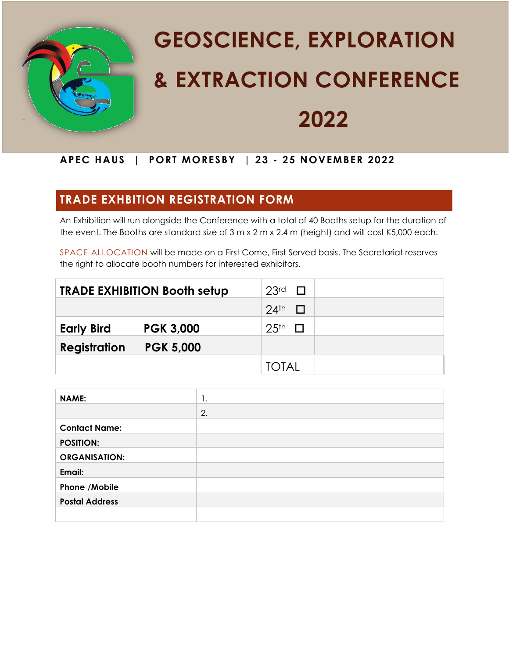

# **GEOSCIENCE, EXPLORATION & EXTRACTION CONFERENCE 2022**

#### **APEC HAUS | PORT MORESBY | 23 - 25 NOVEMBER 2022**

### **TRADE EXHBITION REGISTRATION FORM**

An Exhibition will run alongside the Conference with a total of 40 Booths setup for the duration of the event. The Booths are standard size of 3 m x 2 m x 2.4 m (height) and will cost K5,000 each.

SPACE ALLOCATION will be made on a First Come, First Served basis. The Secretariat reserves the right to allocate booth numbers for interested exhibitors.

| <b>TRADE EXHIBITION Booth setup</b>     | 23rd<br>$\Box$                          |
|-----------------------------------------|-----------------------------------------|
|                                         | $24$ <sup>th</sup><br><b>TELEVISION</b> |
| <b>Early Bird</b><br><b>PGK 3,000</b>   | 25 <sup>th</sup><br>$\mathbf{L}$        |
| <b>Registration</b><br><b>PGK 5,000</b> |                                         |
|                                         | TOTAI                                   |

| <b>NAME:</b>          | 1. |
|-----------------------|----|
|                       | 2. |
| <b>Contact Name:</b>  |    |
| <b>POSITION:</b>      |    |
| <b>ORGANISATION:</b>  |    |
| Email:                |    |
| Phone / Mobile        |    |
| <b>Postal Address</b> |    |
|                       |    |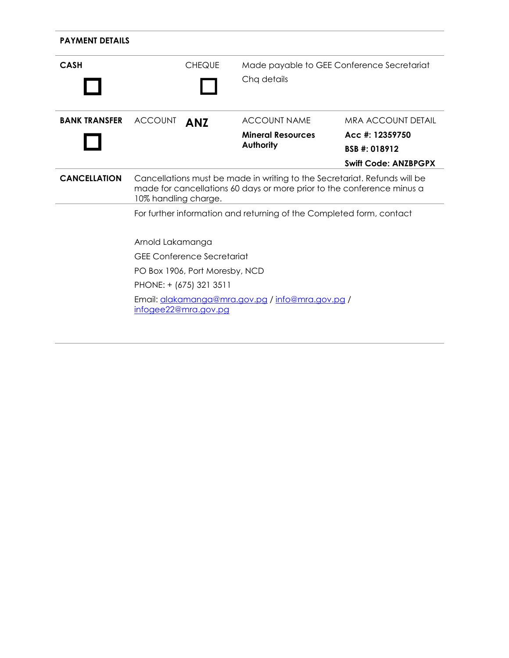| <b>PAYMENT DETAILS</b> |                                                                                                                                                                             |                                   |                                                                      |                             |
|------------------------|-----------------------------------------------------------------------------------------------------------------------------------------------------------------------------|-----------------------------------|----------------------------------------------------------------------|-----------------------------|
| <b>CASH</b>            |                                                                                                                                                                             | <b>CHEQUE</b>                     | Made payable to GEE Conference Secretariat                           |                             |
|                        |                                                                                                                                                                             |                                   | Chq details                                                          |                             |
| <b>BANK TRANSFER</b>   | <b>ACCOUNT</b>                                                                                                                                                              | <b>ANZ</b>                        | <b>ACCOUNT NAME</b>                                                  | MRA ACCOUNT DETAIL          |
|                        |                                                                                                                                                                             |                                   | <b>Mineral Resources</b>                                             | Acc #: 12359750             |
|                        |                                                                                                                                                                             |                                   | Authority                                                            | BSB #: 018912               |
|                        |                                                                                                                                                                             |                                   |                                                                      | <b>Swift Code: ANZBPGPX</b> |
| <b>CANCELLATION</b>    | Cancellations must be made in writing to the Secretariat. Refunds will be<br>made for cancellations 60 days or more prior to the conference minus a<br>10% handling charge. |                                   |                                                                      |                             |
|                        |                                                                                                                                                                             |                                   | For further information and returning of the Completed form, contact |                             |
|                        | Arnold Lakamanga                                                                                                                                                            |                                   |                                                                      |                             |
|                        |                                                                                                                                                                             | <b>GEE Conference Secretariat</b> |                                                                      |                             |
|                        |                                                                                                                                                                             | PO Box 1906, Port Moresby, NCD    |                                                                      |                             |
|                        |                                                                                                                                                                             | PHONE: + (675) 321 3511           |                                                                      |                             |
|                        |                                                                                                                                                                             | infogee22@mra.gov.pg              | Email: alakamanga@mra.gov.pg / info@mra.gov.pg /                     |                             |
|                        |                                                                                                                                                                             |                                   |                                                                      |                             |